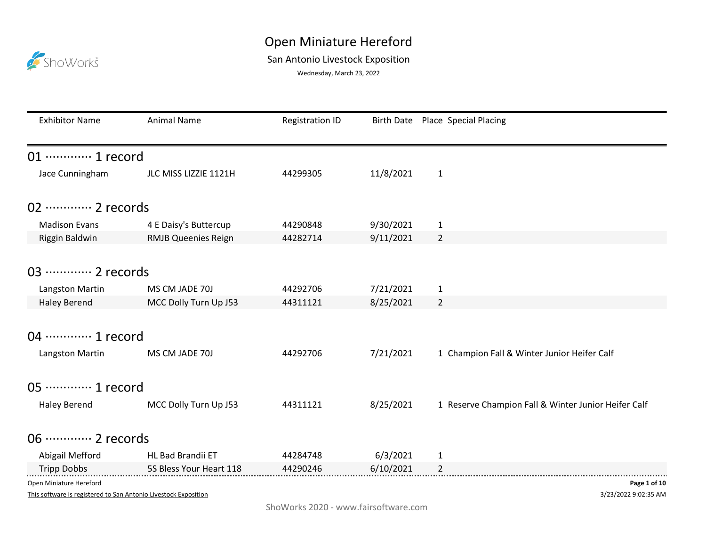## San Antonio Livestock Exposition

ShoWorks

Wednesday, March 23, 2022

| <b>Exhibitor Name</b>                                           | <b>Animal Name</b>         | <b>Registration ID</b> |           | Birth Date Place Special Placing                    |
|-----------------------------------------------------------------|----------------------------|------------------------|-----------|-----------------------------------------------------|
| 01 ············· 1 record                                       |                            |                        |           |                                                     |
| Jace Cunningham                                                 | JLC MISS LIZZIE 1121H      | 44299305               | 11/8/2021 | $\mathbf{1}$                                        |
| 02 ············· 2 records                                      |                            |                        |           |                                                     |
| <b>Madison Evans</b>                                            | 4 E Daisy's Buttercup      | 44290848               | 9/30/2021 | $\mathbf{1}$                                        |
| Riggin Baldwin                                                  | <b>RMJB Queenies Reign</b> | 44282714               | 9/11/2021 | $\overline{2}$                                      |
|                                                                 |                            |                        |           |                                                     |
| 03 ············· 2 records                                      |                            |                        |           |                                                     |
| Langston Martin                                                 | MS CM JADE 70J             | 44292706               | 7/21/2021 | $\mathbf{1}$                                        |
| <b>Haley Berend</b>                                             | MCC Dolly Turn Up J53      | 44311121               | 8/25/2021 | $\overline{2}$                                      |
| 04 ………… 1 record<br>Langston Martin                             | MS CM JADE 70J             | 44292706               | 7/21/2021 | 1 Champion Fall & Winter Junior Heifer Calf         |
| 05 ·············· 1 record                                      |                            |                        |           |                                                     |
| <b>Haley Berend</b>                                             | MCC Dolly Turn Up J53      | 44311121               | 8/25/2021 | 1 Reserve Champion Fall & Winter Junior Heifer Calf |
| 06 ············· 2 records                                      |                            |                        |           |                                                     |
| Abigail Mefford                                                 | HL Bad Brandii ET          | 44284748               | 6/3/2021  | $\mathbf{1}$                                        |
| <b>Tripp Dobbs</b>                                              | 5S Bless Your Heart 118    | 44290246               | 6/10/2021 | 2                                                   |
| Open Miniature Hereford                                         |                            |                        |           | Page 1 of 10                                        |
| This software is registered to San Antonio Livestock Exposition |                            |                        |           | 3/23/2022 9:02:35 AM                                |

ShoWorks 2020 - www.fairsoftware.com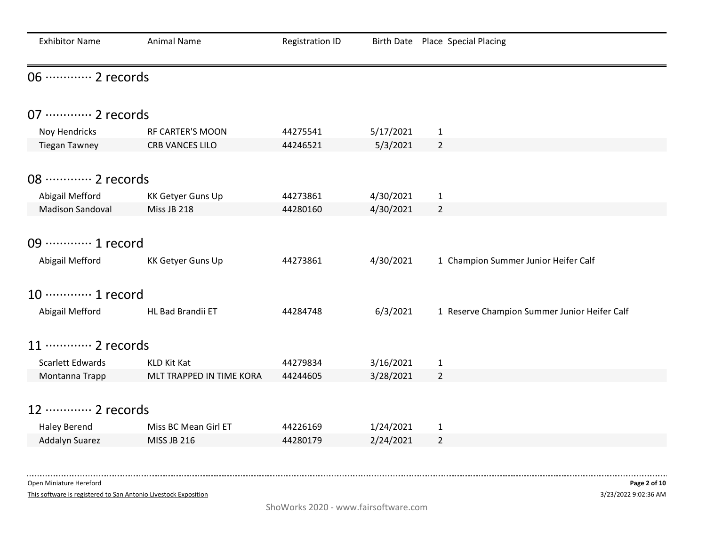| <b>Exhibitor Name</b>      | <b>Animal Name</b>       | <b>Registration ID</b> |           | Birth Date Place Special Placing             |
|----------------------------|--------------------------|------------------------|-----------|----------------------------------------------|
| 06 ············· 2 records |                          |                        |           |                                              |
| 07 ············· 2 records |                          |                        |           |                                              |
| Noy Hendricks              | <b>RF CARTER'S MOON</b>  | 44275541               | 5/17/2021 | $\mathbf{1}$                                 |
| <b>Tiegan Tawney</b>       | <b>CRB VANCES LILO</b>   | 44246521               | 5/3/2021  | $\overline{2}$                               |
|                            |                          |                        |           |                                              |
| 08 ············· 2 records |                          |                        |           |                                              |
| Abigail Mefford            | KK Getyer Guns Up        | 44273861               | 4/30/2021 | $\mathbf{1}$                                 |
| <b>Madison Sandoval</b>    | Miss JB 218              | 44280160               | 4/30/2021 | $\overline{2}$                               |
|                            |                          |                        |           |                                              |
| 09 ············· 1 record  |                          |                        |           |                                              |
| Abigail Mefford            | <b>KK Getyer Guns Up</b> | 44273861               | 4/30/2021 | 1 Champion Summer Junior Heifer Calf         |
| 10 ············· 1 record  |                          |                        |           |                                              |
| Abigail Mefford            | HL Bad Brandii ET        | 44284748               | 6/3/2021  | 1 Reserve Champion Summer Junior Heifer Calf |
| 11 ………… 2 records          |                          |                        |           |                                              |
| <b>Scarlett Edwards</b>    | KLD Kit Kat              | 44279834               | 3/16/2021 | $\mathbf{1}$                                 |
| Montanna Trapp             | MLT TRAPPED IN TIME KORA | 44244605               | 3/28/2021 | $\overline{2}$                               |
|                            |                          |                        |           |                                              |
| 12 ………… 2 records          |                          |                        |           |                                              |
| <b>Haley Berend</b>        | Miss BC Mean Girl ET     | 44226169               | 1/24/2021 | $\mathbf{1}$                                 |
| Addalyn Suarez             | <b>MISS JB 216</b>       | 44280179               | 2/24/2021 | $\overline{2}$                               |
|                            |                          |                        |           |                                              |

This software is registered to San Antonio Livestock Exposition

. \_ \_ \_ \_ \_ \_ \_ \_ \_ \_ \_ \_ \_ \_ \_ .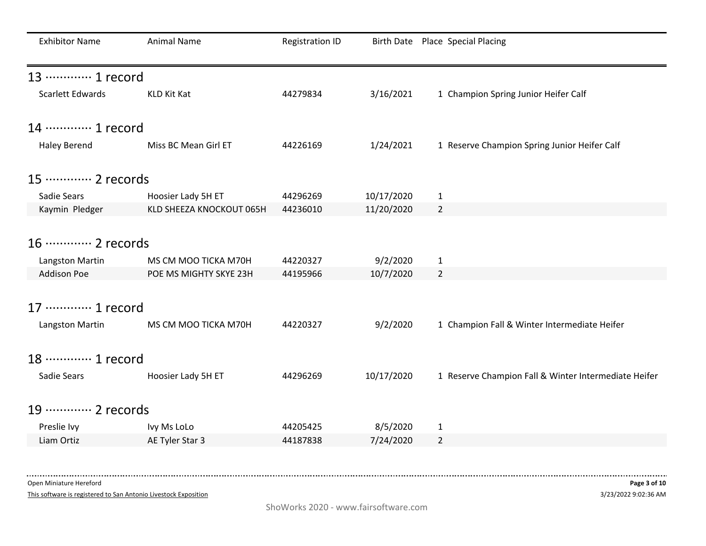| <b>Exhibitor Name</b>      | <b>Animal Name</b>       | <b>Registration ID</b> |            | Birth Date Place Special Placing                     |
|----------------------------|--------------------------|------------------------|------------|------------------------------------------------------|
| 13 ………… 1 record           |                          |                        |            |                                                      |
| <b>Scarlett Edwards</b>    | KLD Kit Kat              | 44279834               | 3/16/2021  | 1 Champion Spring Junior Heifer Calf                 |
| 14 ………… 1 record           |                          |                        |            |                                                      |
| <b>Haley Berend</b>        | Miss BC Mean Girl ET     | 44226169               | 1/24/2021  | 1 Reserve Champion Spring Junior Heifer Calf         |
| 15 ………… 2 records          |                          |                        |            |                                                      |
| Sadie Sears                | Hoosier Lady 5H ET       | 44296269               | 10/17/2020 | $\mathbf{1}$                                         |
| Kaymin Pledger             | KLD SHEEZA KNOCKOUT 065H | 44236010               | 11/20/2020 | $\overline{2}$                                       |
|                            |                          |                        |            |                                                      |
| 16 ············· 2 records |                          |                        |            |                                                      |
| Langston Martin            | MS CM MOO TICKA M70H     | 44220327               | 9/2/2020   | $\mathbf{1}$                                         |
| <b>Addison Poe</b>         | POE MS MIGHTY SKYE 23H   | 44195966               | 10/7/2020  | $\overline{2}$                                       |
|                            |                          |                        |            |                                                      |
| 17 ············· 1 record  |                          |                        |            |                                                      |
| Langston Martin            | MS CM MOO TICKA M70H     | 44220327               | 9/2/2020   | 1 Champion Fall & Winter Intermediate Heifer         |
|                            |                          |                        |            |                                                      |
| 18 ………… 1 record           |                          |                        |            |                                                      |
| Sadie Sears                | Hoosier Lady 5H ET       | 44296269               | 10/17/2020 | 1 Reserve Champion Fall & Winter Intermediate Heifer |
|                            |                          |                        |            |                                                      |
| 19 ············· 2 records |                          |                        |            |                                                      |
| Preslie Ivy                | Ivy Ms LoLo              | 44205425               | 8/5/2020   | $\mathbf{1}$                                         |
| Liam Ortiz                 | AE Tyler Star 3          | 44187838               | 7/24/2020  | $\overline{2}$                                       |
|                            |                          |                        |            |                                                      |

This software is registered to San Antonio Livestock Exposition

----------------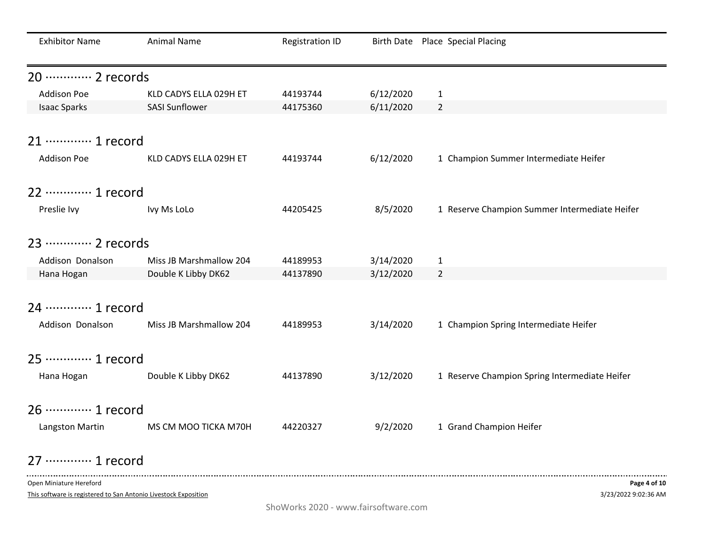| <b>Exhibitor Name</b>      | Animal Name             | <b>Registration ID</b> |           | Birth Date Place Special Placing              |
|----------------------------|-------------------------|------------------------|-----------|-----------------------------------------------|
| 20 ············· 2 records |                         |                        |           |                                               |
| <b>Addison Poe</b>         | KLD CADYS ELLA 029H ET  | 44193744               | 6/12/2020 | $\mathbf{1}$                                  |
| <b>Isaac Sparks</b>        | <b>SASI Sunflower</b>   | 44175360               | 6/11/2020 | $\overline{2}$                                |
| 21 ………… 1 record           |                         |                        |           |                                               |
| <b>Addison Poe</b>         | KLD CADYS ELLA 029H ET  | 44193744               | 6/12/2020 | 1 Champion Summer Intermediate Heifer         |
| 22 ………… 1 record           |                         |                        |           |                                               |
| Preslie Ivy                | Ivy Ms LoLo             | 44205425               | 8/5/2020  | 1 Reserve Champion Summer Intermediate Heifer |
| 23 ………… 2 records          |                         |                        |           |                                               |
| Addison Donalson           | Miss JB Marshmallow 204 | 44189953               | 3/14/2020 | $\mathbf{1}$                                  |
| Hana Hogan                 | Double K Libby DK62     | 44137890               | 3/12/2020 | $\overline{2}$                                |
|                            |                         |                        |           |                                               |
| 24 ………… 1 record           |                         |                        |           |                                               |
| Addison Donalson           | Miss JB Marshmallow 204 | 44189953               | 3/14/2020 | 1 Champion Spring Intermediate Heifer         |
| 25 ………… 1 record           |                         |                        |           |                                               |
| Hana Hogan                 | Double K Libby DK62     | 44137890               | 3/12/2020 | 1 Reserve Champion Spring Intermediate Heifer |
| 26 ………… 1 record           |                         |                        |           |                                               |
| Langston Martin            | MS CM MOO TICKA M70H    | 44220327               | 9/2/2020  | 1 Grand Champion Heifer                       |
| 27 ………… 1 record           |                         |                        |           |                                               |

This software is registered to San Antonio Livestock Exposition

. \_ \_ \_ \_ \_ \_ \_ \_ \_ \_ \_ \_ \_ \_ \_ .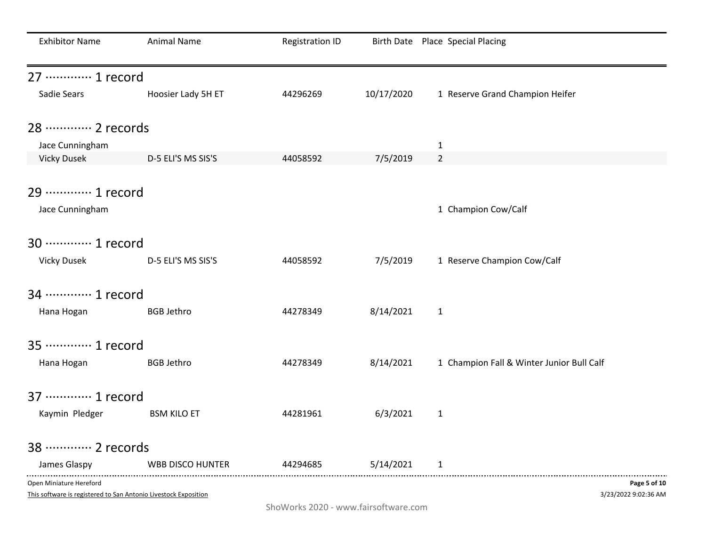| <b>Exhibitor Name</b>                                                                      | <b>Animal Name</b>      | <b>Registration ID</b> |            | Birth Date Place Special Placing          |
|--------------------------------------------------------------------------------------------|-------------------------|------------------------|------------|-------------------------------------------|
| 27 ………… 1 record                                                                           |                         |                        |            |                                           |
| Sadie Sears                                                                                | Hoosier Lady 5H ET      | 44296269               | 10/17/2020 | 1 Reserve Grand Champion Heifer           |
| 28 ………… 2 records                                                                          |                         |                        |            |                                           |
| Jace Cunningham                                                                            |                         |                        |            | $\mathbf{1}$                              |
| <b>Vicky Dusek</b>                                                                         | D-5 ELI'S MS SIS'S      | 44058592               | 7/5/2019   | $\overline{2}$                            |
| 29 ………… 1 record                                                                           |                         |                        |            |                                           |
| Jace Cunningham                                                                            |                         |                        |            | 1 Champion Cow/Calf                       |
| 30 ············· 1 record                                                                  |                         |                        |            |                                           |
| <b>Vicky Dusek</b>                                                                         | D-5 ELI'S MS SIS'S      | 44058592               | 7/5/2019   | 1 Reserve Champion Cow/Calf               |
| 34 ………… 1 record                                                                           |                         |                        |            |                                           |
| Hana Hogan                                                                                 | <b>BGB Jethro</b>       | 44278349               | 8/14/2021  | $\mathbf{1}$                              |
| 35 ………… 1 record                                                                           |                         |                        |            |                                           |
| Hana Hogan                                                                                 | <b>BGB Jethro</b>       | 44278349               | 8/14/2021  | 1 Champion Fall & Winter Junior Bull Calf |
| 37 ………… 1 record                                                                           |                         |                        |            |                                           |
| Kaymin Pledger                                                                             | <b>BSM KILO ET</b>      | 44281961               | 6/3/2021   | $\mathbf{1}$                              |
| 38 ………… 2 records                                                                          |                         |                        |            |                                           |
| James Glaspy                                                                               | <b>WBB DISCO HUNTER</b> | 44294685               | 5/14/2021  | 1                                         |
| Open Miniature Hereford<br>This software is registered to San Antonio Livestock Exposition |                         |                        |            | Page 5 of 10<br>3/23/2022 9:02:36 AM      |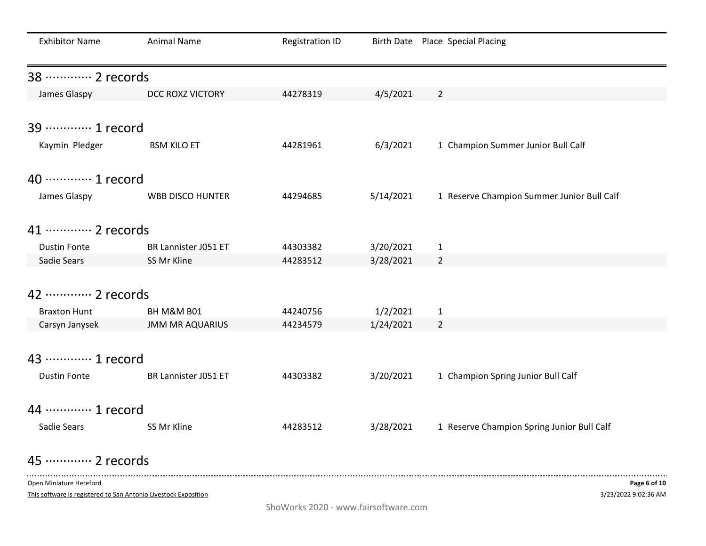| <b>Exhibitor Name</b>      | <b>Animal Name</b>     | <b>Registration ID</b> |           | Birth Date Place Special Placing           |
|----------------------------|------------------------|------------------------|-----------|--------------------------------------------|
| 38 ………… 2 records          |                        |                        |           |                                            |
| James Glaspy               | DCC ROXZ VICTORY       | 44278319               | 4/5/2021  | $\overline{2}$                             |
| 39 ………… 1 record           |                        |                        |           |                                            |
| Kaymin Pledger             | <b>BSM KILO ET</b>     | 44281961               | 6/3/2021  | 1 Champion Summer Junior Bull Calf         |
| 40 ············· 1 record  |                        |                        |           |                                            |
| James Glaspy               | WBB DISCO HUNTER       | 44294685               | 5/14/2021 | 1 Reserve Champion Summer Junior Bull Calf |
| 41 ………… 2 records          |                        |                        |           |                                            |
| <b>Dustin Fonte</b>        | BR Lannister J051 ET   | 44303382               | 3/20/2021 | $\mathbf{1}$                               |
| Sadie Sears                | SS Mr Kline            | 44283512               | 3/28/2021 | $\overline{2}$                             |
| 42 ………… 2 records          |                        |                        |           |                                            |
| <b>Braxton Hunt</b>        | BH M&M B01             | 44240756               | 1/2/2021  | $\mathbf{1}$                               |
| Carsyn Janysek             | <b>JMM MR AQUARIUS</b> | 44234579               | 1/24/2021 | $\overline{2}$                             |
| 43 ………… 1 record           |                        |                        |           |                                            |
| <b>Dustin Fonte</b>        | BR Lannister J051 ET   | 44303382               | 3/20/2021 | 1 Champion Spring Junior Bull Calf         |
| 44 ………… 1 record           |                        |                        |           |                                            |
| Sadie Sears                | SS Mr Kline            | 44283512               | 3/28/2021 | 1 Reserve Champion Spring Junior Bull Calf |
| 45 ············· 2 records |                        |                        |           |                                            |
| Open Miniature Hereford    |                        |                        |           | Page 6 of 10                               |

This software is registered to San Antonio Livestock Exposition

3/23/2022 9:02:36 AM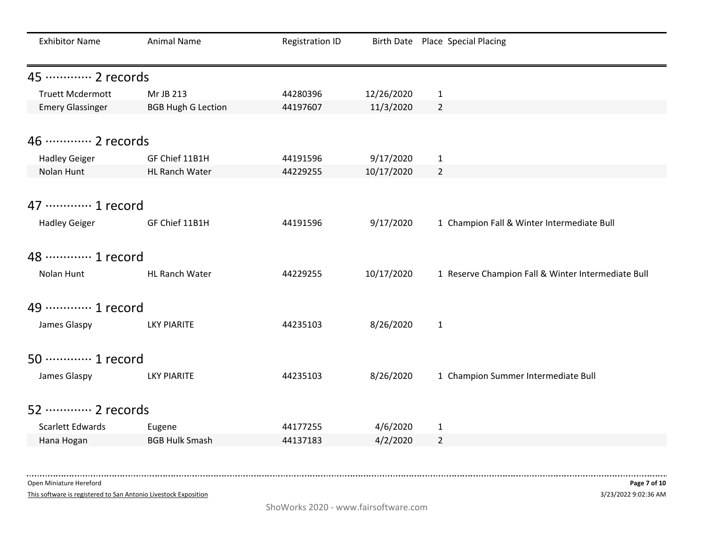| <b>Exhibitor Name</b>                    | <b>Animal Name</b>        | <b>Registration ID</b> |            | Birth Date Place Special Placing                   |
|------------------------------------------|---------------------------|------------------------|------------|----------------------------------------------------|
| 45 ………… 2 records                        |                           |                        |            |                                                    |
| <b>Truett Mcdermott</b>                  | Mr JB 213                 | 44280396               | 12/26/2020 | $\mathbf{1}$                                       |
| <b>Emery Glassinger</b>                  | <b>BGB Hugh G Lection</b> | 44197607               | 11/3/2020  | $\overline{2}$                                     |
| 46 ············· 2 records               |                           |                        |            |                                                    |
| <b>Hadley Geiger</b>                     | GF Chief 11B1H            | 44191596               | 9/17/2020  | $\mathbf{1}$                                       |
| Nolan Hunt                               | HL Ranch Water            | 44229255               | 10/17/2020 | $\overline{2}$                                     |
| 47 ………… 1 record<br><b>Hadley Geiger</b> | GF Chief 11B1H            | 44191596               | 9/17/2020  | 1 Champion Fall & Winter Intermediate Bull         |
| 48 ………… 1 record                         |                           |                        |            |                                                    |
| Nolan Hunt                               | HL Ranch Water            | 44229255               | 10/17/2020 | 1 Reserve Champion Fall & Winter Intermediate Bull |
| 49 ············· 1 record                |                           |                        |            |                                                    |
| James Glaspy                             | LKY PIARITE               | 44235103               | 8/26/2020  | $\mathbf{1}$                                       |
| 50 ············· 1 record                |                           |                        |            |                                                    |
| James Glaspy                             | <b>LKY PIARITE</b>        | 44235103               | 8/26/2020  | 1 Champion Summer Intermediate Bull                |
| 52 ············· 2 records               |                           |                        |            |                                                    |
| Scarlett Edwards                         | Eugene                    | 44177255               | 4/6/2020   | $\mathbf{1}$                                       |
| Hana Hogan                               | <b>BGB Hulk Smash</b>     | 44137183               | 4/2/2020   | $\overline{2}$                                     |

This software is registered to San Antonio Livestock Exposition

. . . . . . . . . . . . . . . .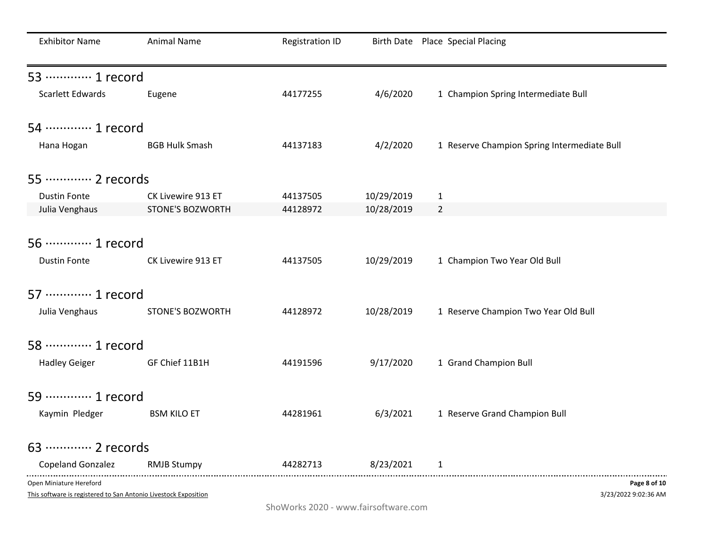| <b>Exhibitor Name</b>                                                                      | <b>Animal Name</b>    | <b>Registration ID</b> |            | Birth Date Place Special Placing            |
|--------------------------------------------------------------------------------------------|-----------------------|------------------------|------------|---------------------------------------------|
| 53 ………… 1 record                                                                           |                       |                        |            |                                             |
| Scarlett Edwards                                                                           | Eugene                | 44177255               | 4/6/2020   | 1 Champion Spring Intermediate Bull         |
| 54 ………… 1 record                                                                           |                       |                        |            |                                             |
| Hana Hogan                                                                                 | <b>BGB Hulk Smash</b> | 44137183               | 4/2/2020   | 1 Reserve Champion Spring Intermediate Bull |
| 55 ············· 2 records                                                                 |                       |                        |            |                                             |
| <b>Dustin Fonte</b>                                                                        | CK Livewire 913 ET    | 44137505               | 10/29/2019 | $\mathbf{1}$                                |
| Julia Venghaus                                                                             | STONE'S BOZWORTH      | 44128972               | 10/28/2019 | $\overline{2}$                              |
| 56 ………… 1 record<br><b>Dustin Fonte</b>                                                    | CK Livewire 913 ET    | 44137505               | 10/29/2019 | 1 Champion Two Year Old Bull                |
| 57 ………… 1 record                                                                           |                       |                        |            |                                             |
| Julia Venghaus                                                                             | STONE'S BOZWORTH      | 44128972               | 10/28/2019 | 1 Reserve Champion Two Year Old Bull        |
| 58 ………… 1 record                                                                           |                       |                        |            |                                             |
| <b>Hadley Geiger</b>                                                                       | GF Chief 11B1H        | 44191596               | 9/17/2020  | 1 Grand Champion Bull                       |
| 59 ············· 1 record                                                                  |                       |                        |            |                                             |
| Kaymin Pledger                                                                             | <b>BSM KILO ET</b>    | 44281961               | 6/3/2021   | 1 Reserve Grand Champion Bull               |
| 63 ············· 2 records                                                                 |                       |                        |            |                                             |
| Copeland Gonzalez                                                                          | <b>RMJB Stumpy</b>    | 44282713               | 8/23/2021  | 1                                           |
| Open Miniature Hereford<br>This software is registered to San Antonio Livestock Exposition |                       |                        |            | Page 8 of 10<br>3/23/2022 9:02:36 AM        |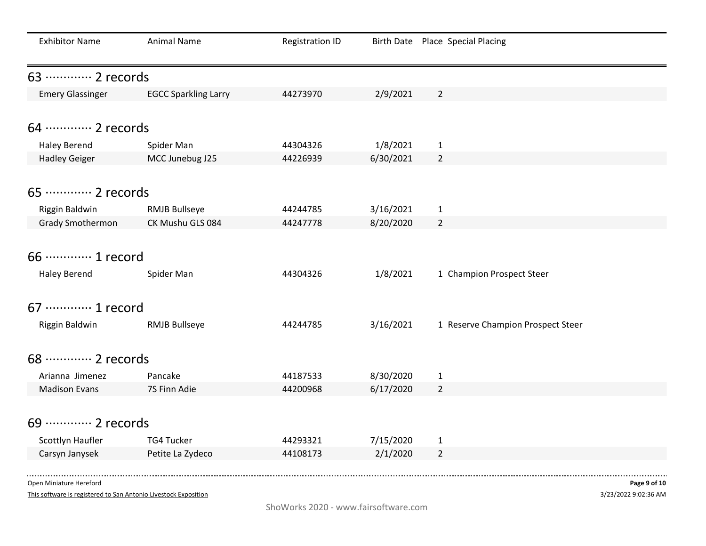| <b>Exhibitor Name</b>      | Animal Name                 | <b>Registration ID</b> |           | Birth Date Place Special Placing  |
|----------------------------|-----------------------------|------------------------|-----------|-----------------------------------|
| 63 ………… 2 records          |                             |                        |           |                                   |
| <b>Emery Glassinger</b>    | <b>EGCC Sparkling Larry</b> | 44273970               | 2/9/2021  | $\overline{2}$                    |
| 64 ………… 2 records          |                             |                        |           |                                   |
| <b>Haley Berend</b>        | Spider Man                  | 44304326               | 1/8/2021  | $\mathbf{1}$                      |
| <b>Hadley Geiger</b>       | MCC Junebug J25             | 44226939               | 6/30/2021 | $\overline{2}$                    |
|                            |                             |                        |           |                                   |
| 65 ············· 2 records |                             |                        |           |                                   |
| Riggin Baldwin             | <b>RMJB Bullseye</b>        | 44244785               | 3/16/2021 | $\mathbf{1}$                      |
| <b>Grady Smothermon</b>    | CK Mushu GLS 084            | 44247778               | 8/20/2020 | $\overline{2}$                    |
|                            |                             |                        |           |                                   |
| 66 ············· 1 record  |                             |                        |           |                                   |
| <b>Haley Berend</b>        | Spider Man                  | 44304326               | 1/8/2021  | 1 Champion Prospect Steer         |
| 67 ············· 1 record  |                             |                        |           |                                   |
| Riggin Baldwin             | <b>RMJB Bullseye</b>        | 44244785               | 3/16/2021 | 1 Reserve Champion Prospect Steer |
|                            |                             |                        |           |                                   |
| 68 ………… 2 records          |                             |                        |           |                                   |
| Arianna Jimenez            | Pancake                     | 44187533               | 8/30/2020 | $\mathbf{1}$                      |
| <b>Madison Evans</b>       | 7S Finn Adie                | 44200968               | 6/17/2020 | $\overline{2}$                    |
|                            |                             |                        |           |                                   |
| 69 ············· 2 records |                             |                        |           |                                   |
| Scottlyn Haufler           | <b>TG4 Tucker</b>           | 44293321               | 7/15/2020 | $\mathbf{1}$                      |
| Carsyn Janysek             | Petite La Zydeco            | 44108173               | 2/1/2020  | $\overline{2}$                    |
|                            |                             |                        |           |                                   |

This software is registered to San Antonio Livestock Exposition